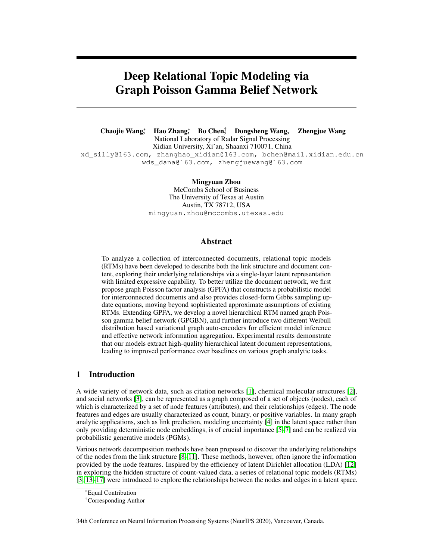# Deep Relational Topic Modeling via Graph Poisson Gamma Belief Network

Chaojie Wang<sup>∗</sup> , Hao Zhang<sup>∗</sup> , Bo Chen† , Dongsheng Wang, Zhengjue Wang National Laboratory of Radar Signal Processing Xidian University, Xi'an, Shaanxi 710071, China xd\_silly@163.com, zhanghao\_xidian@163.com, bchen@mail.xidian.edu.cn wds\_dana@163.com, zhengjuewang@163.com

> Mingyuan Zhou McCombs School of Business The University of Texas at Austin Austin, TX 78712, USA mingyuan.zhou@mccombs.utexas.edu

# Abstract

To analyze a collection of interconnected documents, relational topic models (RTMs) have been developed to describe both the link structure and document content, exploring their underlying relationships via a single-layer latent representation with limited expressive capability. To better utilize the document network, we first propose graph Poisson factor analysis (GPFA) that constructs a probabilistic model for interconnected documents and also provides closed-form Gibbs sampling update equations, moving beyond sophisticated approximate assumptions of existing RTMs. Extending GPFA, we develop a novel hierarchical RTM named graph Poisson gamma belief network (GPGBN), and further introduce two different Weibull distribution based variational graph auto-encoders for efficient model inference and effective network information aggregation. Experimental results demonstrate that our models extract high-quality hierarchical latent document representations, leading to improved performance over baselines on various graph analytic tasks.

# 1 Introduction

A wide variety of network data, such as citation networks [1], chemical molecular structures [2], and social networks [3], can be represented as a graph composed of a set of objects (nodes), each of which is characterized by a set of node features (attributes), and their relationships (edges). The node features and edges are usually characterized as count, binary, or positive variables. In many graph analytic applications, such as link prediction, modeling uncertainty [4] in the latent space rather than only providing deterministic node embeddings, is of crucial importance [5–7] and can be realized via probabilistic generative models (PGMs).

Various network decomposition methods have been proposed to discover the underlying relationships of the nodes from the link structure [8–11]. These methods, however, often ignore the information provided by the node features. Inspired by the efficiency of latent Dirichlet allocation (LDA) [12] in exploring the hidden structure of count-valued data, a series of relational topic models (RTMs) [3, 13–17] were introduced to explore the relationships between the nodes and edges in a latent space.

<sup>∗</sup>Equal Contribution

<sup>†</sup>Corresponding Author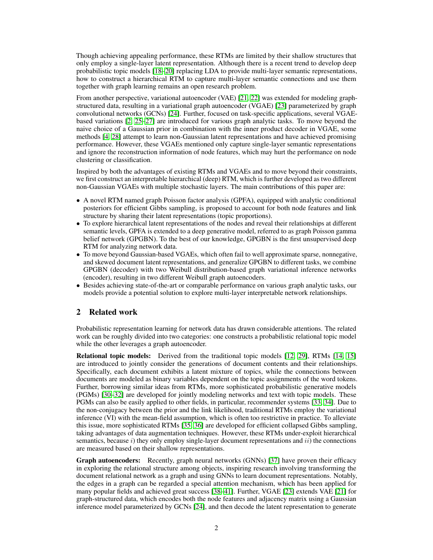Though achieving appealing performance, these RTMs are limited by their shallow structures that only employ a single-layer latent representation. Although there is a recent trend to develop deep probabilistic topic models [18–20] replacing LDA to provide multi-layer semantic representations, how to construct a hierarchical RTM to capture multi-layer semantic connections and use them together with graph learning remains an open research problem.

From another perspective, variational autoencoder (VAE) [21, 22] was extended for modeling graphstructured data, resulting in a variational graph autoencoder (VGAE) [23] parameterized by graph convolutional networks (GCNs) [24]. Further, focused on task-specific applications, several VGAEbased variations [2, 25–27] are introduced for various graph analytic tasks. To move beyond the naive choice of a Gaussian prior in combination with the inner product decoder in VGAE, some methods [4, 28] attempt to learn non-Gaussian latent representations and have achieved promising performance. However, these VGAEs mentioned only capture single-layer semantic representations and ignore the reconstruction information of node features, which may hurt the performance on node clustering or classification.

Inspired by both the advantages of existing RTMs and VGAEs and to move beyond their constraints, we first construct an interpretable hierarchical (deep) RTM, which is further developed as two different non-Gaussian VGAEs with multiple stochastic layers. The main contributions of this paper are:

- A novel RTM named graph Poisson factor analysis (GPFA), equipped with analytic conditional posteriors for efficient Gibbs sampling, is proposed to account for both node features and link structure by sharing their latent representations (topic proportions).
- To explore hierarchical latent representations of the nodes and reveal their relationships at different semantic levels, GPFA is extended to a deep generative model, referred to as graph Poisson gamma belief network (GPGBN). To the best of our knowledge, GPGBN is the first unsupervised deep RTM for analyzing network data.
- To move beyond Gaussian-based VGAEs, which often fail to well approximate sparse, nonnegative, and skewed document latent representations, and generalize GPGBN to different tasks, we combine GPGBN (decoder) with two Weibull distribution-based graph variational inference networks (encoder), resulting in two different Weibull graph autoencoders.
- Besides achieving state-of-the-art or comparable performance on various graph analytic tasks, our models provide a potential solution to explore multi-layer interpretable network relationships.

# 2 Related work

Probabilistic representation learning for network data has drawn considerable attentions. The related work can be roughly divided into two categories: one constructs a probabilistic relational topic model while the other leverages a graph autoencoder.

Relational topic models: Derived from the traditional topic models [12, 29], RTMs [14, 15] are introduced to jointly consider the generations of document contents and their relationships. Specifically, each document exhibits a latent mixture of topics, while the connections between documents are modeled as binary variables dependent on the topic assignments of the word tokens. Further, borrowing similar ideas from RTMs, more sophisticated probabilistic generative models (PGMs) [30–32] are developed for jointly modeling networks and text with topic models. These PGMs can also be easily applied to other fields, in particular, recommender systems [33, 34]. Due to the non-conjugacy between the prior and the link likelihood, traditional RTMs employ the variational inference (VI) with the mean-field assumption, which is often too restrictive in practice. To alleviate this issue, more sophisticated RTMs [35, 36] are developed for efficient collapsed Gibbs sampling, taking advantages of data augmentation techniques. However, these RTMs under-exploit hierarchical semantics, because i) they only employ single-layer document representations and  $ii$ ) the connections are measured based on their shallow representations.

Graph autoencoders: Recently, graph neural networks (GNNs) [37] have proven their efficacy in exploring the relational structure among objects, inspiring research involving transforming the document relational network as a graph and using GNNs to learn document representations. Notably, the edges in a graph can be regarded a special attention mechanism, which has been applied for many popular fields and achieved great success [38–41]. Further, VGAE [23] extends VAE [21] for graph-structured data, which encodes both the node features and adjacency matrix using a Gaussian inference model parameterized by GCNs [24], and then decode the latent representation to generate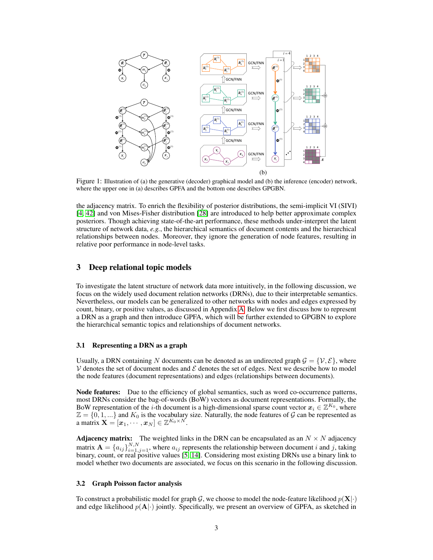

Figure 1: Illustration of (a) the generative (decoder) graphical model and (b) the inference (encoder) network, where the upper one in (a) describes GPFA and the bottom one describes GPGBN.

the adjacency matrix. To enrich the flexibility of posterior distributions, the semi-implicit VI (SIVI) [4, 42] and von Mises-Fisher distribution [28] are introduced to help better approximate complex posteriors. Though achieving state-of-the-art performance, these methods under-interpret the latent structure of network data, *e.g.*, the hierarchical semantics of document contents and the hierarchical relationships between nodes. Moreover, they ignore the generation of node features, resulting in relative poor performance in node-level tasks.

# 3 Deep relational topic models

To investigate the latent structure of network data more intuitively, in the following discussion, we focus on the widely used document relation networks (DRNs), due to their interpretable semantics. Nevertheless, our models can be generalized to other networks with nodes and edges expressed by count, binary, or positive values, as discussed in Appendix A. Below we first discuss how to represent a DRN as a graph and then introduce GPFA, which will be further extended to GPGBN to explore the hierarchical semantic topics and relationships of document networks.

# 3.1 Representing a DRN as a graph

Usually, a DRN containing N documents can be denoted as an undirected graph  $\mathcal{G} = \{ \mathcal{V}, \mathcal{E} \}$ , where  $V$  denotes the set of document nodes and  $E$  denotes the set of edges. Next we describe how to model the node features (document representations) and edges (relationships between documents).

Node features: Due to the efficiency of global semantics, such as word co-occurrence patterns, most DRNs consider the bag-of-words (BoW) vectors as document representations. Formally, the BoW representation of the *i*-th document is a high-dimensional sparse count vector  $x_i \in \mathbb{Z}^{K_0}$ , where  $\mathbb{Z} = \{0, 1, ...\}$  and  $K_0$  is the vocabulary size. Naturally, the node features of G can be represented as a matrix  $\mathbf{X} = [\boldsymbol{x}_1, \cdots, \boldsymbol{x}_N] \in \mathbb{Z}^{K_0 \times N}.$ 

**Adjacency matrix:** The weighted links in the DRN can be encapsulated as an  $N \times N$  adjacency matrix  $\mathbf{A} = \{a_{ij}\}_{i=1,j=1}^{N,N}$ , where  $a_{ij}$  represents the relationship between document i and j, taking binary, count, or real positive values [5, 14]. Considering most existing DRNs use a binary link to model whether two documents are associated, we focus on this scenario in the following discussion.

#### 3.2 Graph Poisson factor analysis

To construct a probabilistic model for graph G, we choose to model the node-feature likelihood  $p(\mathbf{X}|\cdot)$ and edge likelihood  $p(A|\cdot)$  jointly. Specifically, we present an overview of GPFA, as sketched in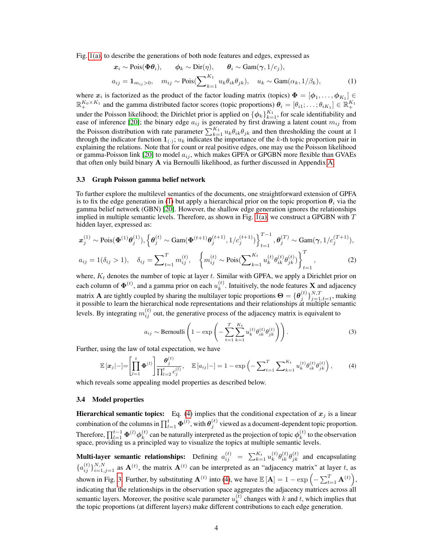Fig. 1(a), to describe the generations of both node features and edges, expressed as

$$
\begin{aligned}\n\boldsymbol{x}_i &\sim \text{Pois}(\boldsymbol{\Phi}\boldsymbol{\theta}_i), \qquad \boldsymbol{\phi}_k &\sim \text{Dir}(\boldsymbol{\eta}), \qquad \boldsymbol{\theta}_i &\sim \text{Gam}(\boldsymbol{\gamma}, 1/c_j), \\
a_{ij} &= \mathbf{1}_{m_{ij} > 0}, \quad m_{ij} &\sim \text{Pois}(\sum_{k=1}^{K_1} u_k \theta_{ik} \theta_{jk}), \quad u_k &\sim \text{Gam}(\alpha_k, 1/\beta_k),\n\end{aligned} \tag{1}
$$

where  $x_i$  is factorized as the product of the factor loading matrix (topics)  $\mathbf{\Phi} = [\phi_1, \dots, \phi_{K_1}] \in$  $\mathbb{R}_+^{K_0 \times K_1}$  and the gamma distributed factor scores (topic proportions)  $\theta_i = [\theta_{i1}; \dots; \theta_{iK_1}] \in \mathbb{R}_+^{K_1}$ under the Poisson likelihood; the Dirichlet prior is applied on  $\{\phi_k\}_{k=1}^{K_1}$ , for scale identifiability and ease of inference [20]; the binary edge  $a_{ij}$  is generated by first drawing a latent count  $m_{ij}$  from the Poisson distribution with rate parameter  $\sum_{k=1}^{K_1} u_k \theta_{ik} \theta_{jk}$  and then thresholding the count at 1 through the indicator function  $\mathbf{1}_{(.)}$ ;  $u_k$  indicates the importance of the k-th topic proportion pair in explaining the relations. Note that for count or real positive edges, one may use the Poisson likelihood or gamma-Poisson link [20] to model  $a_{ij}$ , which makes GPFA or GPGBN more flexible than GVAEs that often only build binary A via Bernoulli likelihood, as further discussed in Appendix A.

#### 3.3 Graph Poisson gamma belief network

To further explore the multilevel semantics of the documents, one straightforward extension of GPFA is to fix the edge generation in (1) but apply a hierarchical prior on the topic proportion  $\theta_i$  via the gamma belief network (GBN) [20]. However, the shallow edge generation ignores the relationships implied in multiple semantic levels. Therefore, as shown in Fig.  $1(a)$ , we construct a GPGBN with  $T$ hidden layer, expressed as:

$$
\boldsymbol{x}_{j}^{(1)} \sim \text{Pois}(\boldsymbol{\Phi}^{(1)}\boldsymbol{\theta}_{j}^{(1)}), \left\{\boldsymbol{\theta}_{j}^{(t)} \sim \text{Gam}(\boldsymbol{\Phi}^{(t+1)}\boldsymbol{\theta}_{j}^{(t+1)}, 1/c_{j}^{(t+1)})\right\}_{t=1}^{T-1}, \boldsymbol{\theta}_{j}^{(T)} \sim \text{Gam}(\boldsymbol{\gamma}, 1/c_{j}^{(T+1)}),
$$

$$
a_{ij} = 1(\delta_{ij} > 1), \quad \delta_{ij} = \sum_{t=1}^{T} m_{ij}^{(t)}, \quad \left\{ m_{ij}^{(t)} \sim \text{Pois}(\sum_{k=1}^{K_{t}} u_{k}^{(t)} \boldsymbol{\theta}_{ik}^{(t)} \boldsymbol{\theta}_{jk}^{(t)})\right\}_{t=1}^{T},
$$
(2)

where,  $K_t$  denotes the number of topic at layer t. Similar with GPFA, we apply a Dirichlet prior on each column of  $\mathbf{\Phi}^{(t)}$ , and a gamma prior on each  $u_k^{(t)}$  $k<sup>(t)</sup>$ . Intuitively, the node features **X** and adjacency matrix  ${\bf A}$  are tightly coupled by sharing the multilayer topic proportions  $\Theta=\{\bm{\theta}_j^{(t)}\}_{j=1,t=1}^{N,T}$ , making it possible to learn the hierarchical node representations and their relationships at multiple semantic levels. By integrating  $m_{ij}^{(t)}$  out, the generative process of the adjacency matrix is equivalent to

$$
a_{ij} \sim \text{Bernoulli}\left(1 - \exp\left(-\sum_{t=1}^T \sum_{k=1}^{K_t} u_k^{(t)} \theta_{ik}^{(t)} \theta_{jk}^{(t)}\right)\right). \tag{3}
$$

Further, using the law of total expectation, we have

$$
\mathbb{E}\left[\boldsymbol{x}_j\right] - \left[\prod_{l=1}^t \boldsymbol{\Phi}^{(l)}\right] \frac{\boldsymbol{\theta}_j^{(t)}}{\prod_{l=2}^t c_j^{(l)}}, \quad \mathbb{E}\left[a_{ij}\right] - \left[1 - \exp\left(-\sum_{t=1}^T \sum_{k=1}^{K_t} u_k^{(t)} \theta_{ik}^{(t)} \theta_{jk}^{(t)}\right),\tag{4}
$$

which reveals some appealing model properties as described below.

#### 3.4 Model properties

**Hierarchical semantic topics:** Eq. (4) implies that the conditional expectation of  $x_j$  is a linear combination of the columns in  $\prod_{l=1}^t \Phi^{(l)}$ , with  $\theta_j^{(t)}$  viewed as a document-dependent topic proportion. Therefore,  $\prod_{l=1}^{t-1} \boldsymbol{\Phi}^{(l)} \boldsymbol{\phi}_k^{(t)}$  $k_k^{(t)}$  can be naturally interpreted as the projection of topic  $\phi_k^{(t)}$  $\binom{t}{k}$  to the observation space, providing us a principled way to visualize the topics at multiple semantic levels.

Multi-layer semantic relationships: Defining  $a_{ij}^{(t)} = \sum_{k=1}^{K_t} u_k^{(t)}$  ${}_{k}^{(t)}\theta_{ik}^{(t)}\theta_{jk}^{(t)}$  and encapsulating  ${a_{ij}^{(t)}}_{i=1,j=1}^{N,N}$  as  $\mathbf{A}^{(t)}$ , the matrix  $\mathbf{A}^{(t)}$  can be interpreted as an "adjacency matrix" at layer t, as shown in Fig. 3. Further, by substituting  $\mathbf{A}^{(t)}$  into (4), we have  $\mathbb{E}[\mathbf{A}] = 1 - \exp\left(-\sum_{t=1}^{T} \mathbf{A}^{(t)}\right)$ , indicating that the relationships in the observation space aggregates the adjacency matrices across all semantic layers. Moreover, the positive scale parameter  $u_k^{(t)}$  $k<sup>(t)</sup>$  changes with k and t, which implies that the topic proportions (at different layers) make different contributions to each edge generation.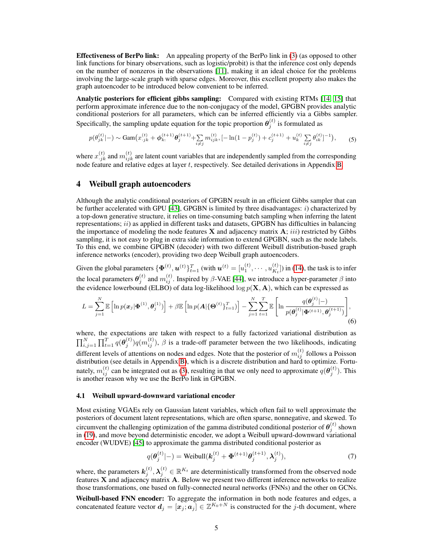Effectiveness of BerPo link: An appealing property of the BerPo link in (3) (as opposed to other link functions for binary observations, such as logistic/probit) is that the inference cost only depends on the number of nonzeros in the observations [11], making it an ideal choice for the problems involving the large-scale graph with sparse edges. Moreover, this excellent property also makes the graph autoencoder to be introduced below convenient to be inferred.

Analytic posteriors for efficient gibbs sampling: Compared with existing RTMs [14, 15] that perform approximate inference due to the non-conjugacy of the model, GPGBN provides analytic conditional posteriors for all parameters, which can be inferred efficiently via a Gibbs sampler. Specifically, the sampling update equation for the topic proportion  $\theta_j^{(t)}$  is formulated as

$$
p(\theta_{jk}^{(t)}|-) \sim \text{Gam}\big(x_{\cdot jk}^{(t)} + \phi_{k\cdot}^{(t+1)}\theta_j^{(t+1)} + \sum_{i \neq j} m_{ijk}^{(t)}, [-\ln(1-p_j^{(t)}) + c_j^{(t+1)} + u_k^{(t)}\sum_{i \neq j} \theta_{ik}^{(t)}]^{-1}\big),\tag{5}
$$

where  $x_{j,k}^{(t)}$  and  $m_{ijk}^{(t)}$  are latent count variables that are independently sampled from the corresponding node feature and relative edges at layer  $t$ , respectively. See detailed derivations in Appendix B.

# 4 Weibull graph autoencoders

Although the analytic conditional posteriors of GPGBN result in an efficient Gibbs sampler that can be further accelerated with GPU  $[43]$ , GPGBN is limited by three disadvantages: i) characterized by a top-down generative structure, it relies on time-consuming batch sampling when inferring the latent representations;  $ii)$  as applied in different tasks and datasets, GPGBN has difficulties in balancing the importance of modeling the node features  $X$  and adjacency matrix  $A$ ; iii) restricted by Gibbs sampling, it is not easy to plug in extra side information to extend GPGBN, such as the node labels. To this end, we combine GPGBN (decoder) with two different Weibull distribution-based graph inference networks (encoder), providing two deep Weibull graph autoencoders.

Given the global parameters  $\{\bm{\Phi}^{(t)},\bm{u}^{(t)}\}_{t=1}^T$  (with  $\bm{u}^{(t)} = [u^{(t)}_1,\cdots,u^{(t)}_{K_t}]$  $\binom{t}{K_t}$ ) in (14), the task is to infer the local parameters  $\theta_j^{(t)}$  and  $m_{ij}^{(t)}$ . Inspired by  $\beta$ -VAE [44], we introduce a hyper-parameter  $\beta$  into the evidence lowerbound (ELBO) of data log-likelihood  $\log p(X, A)$ , which can be expressed as

$$
L = \sum_{j=1}^{N} \mathbb{E}\left[\ln p(\boldsymbol{x}_j|\boldsymbol{\Phi}^{(1)},\boldsymbol{\theta}_j^{(1)})\right] + \beta \mathbb{E}\left[\ln p(\boldsymbol{A}|\{\boldsymbol{\Theta}^{(t)}\}_{t=1}^T)\right] - \sum_{j=1}^{N} \sum_{t=1}^{T} \mathbb{E}\left[\ln \frac{q(\boldsymbol{\theta}_j^{(t)}|-)}{p(\boldsymbol{\theta}_j^{(t)}|\boldsymbol{\Phi}^{(t+1)},\boldsymbol{\theta}_j^{(t+1)})}\right],
$$
\n(6)

where, the expectations are taken with respect to a fully factorized variational distribution as  $\prod_{i,j=1}^N \prod_{t=1}^T q(\theta_j^{(t)}) q(m_{ij}^{(t)})$ ,  $\beta$  is a trade-off parameter between the two likelihoods, indicating different levels of attentions on nodes and edges. Note that the posterior of  $m_{ij}^{(t)}$  follows a Poisson distribution (see details in Appendix B), which is a discrete distribution and hard to optimize. Fortunately,  $m_{ij}^{(t)}$  can be integrated out as (3), resulting in that we only need to approximate  $q(\theta_j^{(t)})$ . This is another reason why we use the BerPo link in GPGBN.

## 4.1 Weibull upward-downward variational encoder

Most existing VGAEs rely on Gaussian latent variables, which often fail to well approximate the posteriors of document latent representations, which are often sparse, nonnegative, and skewed. To circumvent the challenging optimization of the gamma distributed conditional posterior of  $\theta_j^{(t)}$  shown in (19), and move beyond deterministic encoder, we adopt a Weibull upward-downward variational encoder (WUDVE) [45] to approximate the gamma distributed conditional posterior as

$$
q(\theta_j^{(t)}|-) = \text{Weibull}(k_j^{(t)} + \Phi^{(t+1)}\theta_j^{(t+1)}, \lambda_j^{(t)}),
$$
\n(7)

where, the parameters  $k_j^{(t)}, \lambda_j^{(t)} \in \mathbb{R}^{K_t}$  are deterministically transformed from the observed node features  $X$  and adjacency matrix  $A$ . Below we present two different inference networks to realize those transformations, one based on fully-connected neural networks (FNNs) and the other on GCNs.

Weibull-based FNN encoder: To aggregate the information in both node features and edges, a concatenated feature vector  $d_j = [x_j; a_j] \in \mathbb{Z}^{K_0+N}$  is constructed for the j-th document, where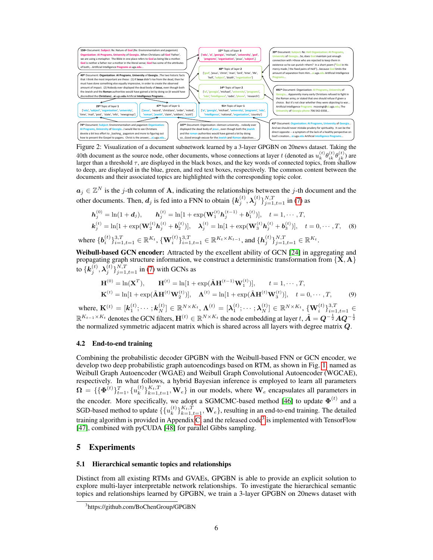

Figure 2: Visualization of a document subnetwork learned by a 3-layer GPGBN on 20news dataset. Taking the 40th document as the source node, other documents, whose connections at layer t (denoted as  $u_k^{(t)} \theta_{ik}^{(t)} \theta_{jk}^{(t)}$ ) are larger than a threshold  $\tau$ , are displayed in the black boxes, and the key words of connected topics, from shallow to deep, are displayed in the blue, green, and red text boxes, respectively. The common content between the documents and their associated topics are highlighted with the corresponding topic color.

 $a_j \in \mathbb{Z}^N$  is the j-th column of A, indicating the relationships between the j-th document and the other documents. Then,  $d_j$  is fed into a FNN to obtain  $\{k_j^{(t)}, \lambda_j^{(t)}\}_{j=1, t=1}^{N,T}$  in (7) as

$$
\mathbf{h}_{j}^{(0)} = \ln(1 + \mathbf{d}_{j}), \qquad \mathbf{h}_{j}^{(t)} = \ln[1 + \exp(\mathbf{W}_{1}^{(t)} \mathbf{h}_{j}^{(t-1)} + \mathbf{b}_{1}^{(t)})], \quad t = 1, \cdots, T,
$$
\n
$$
\mathbf{k}_{j}^{(t)} = \ln[1 + \exp(\mathbf{W}_{2}^{(t)} \mathbf{h}_{j}^{(t)} + \mathbf{b}_{2}^{(t)})], \quad \mathbf{\lambda}_{j}^{(t)} = \ln[1 + \exp(\mathbf{W}_{3}^{(t)} \mathbf{h}_{j}^{(t)} + \mathbf{b}_{3}^{(t)})], \quad t = 0, \cdots, T,
$$
\n(8)\nwhere\n
$$
\{\mathbf{b}_{i}^{(t)}\}_{i=1, t=1}^{3, T} \in \mathbb{R}^{K_{t}}, \{\mathbf{W}_{i}^{(t)}\}_{i=1, t=1}^{3, T} \in \mathbb{R}^{K_{t} \times K_{t-1}}, \text{and } \{\mathbf{h}_{j}^{(t)}\}_{j=1, t=1}^{N, T} \in \mathbb{R}^{K_{t}}.
$$

Weibull-based GCN encoder: Attracted by the excellent ability of GCN [24] in aggregating and propagating graph structure information, we construct a deterministic transformation from  $\{X, A\}$ to  $\{\boldsymbol{k}_j^{(t)},\boldsymbol{\lambda}_j^{(t)}\}_{j=1,t=1}^{N,T}$  in (7) with GCNs as

$$
\mathbf{H}^{(0)} = \ln(\mathbf{X}^{T}), \qquad \mathbf{H}^{(t)} = \ln[1 + \exp(\tilde{\mathbf{A}}\mathbf{H}^{(t-1)}\mathbf{W}_{1}^{(t)})], \qquad t = 1, \cdots, T,
$$

$$
\mathbf{K}^{(t)} = \ln[1 + \exp(\tilde{\mathbf{A}}\mathbf{H}^{(t)}\mathbf{W}_{2}^{(t)})], \quad \mathbf{\Lambda}^{(t)} = \ln[1 + \exp(\tilde{\mathbf{A}}\mathbf{H}^{(t)}\mathbf{W}_{3}^{(t)})], \quad t = 0, \cdots, T,
$$
(9)

where,  $\mathbf{K}^{(t)} = [\mathbf{k}_1^{(t)}; \cdots; \mathbf{k}_N^{(t)}] \in \mathbb{R}^{N \times K_t}, \, \mathbf{\Lambda}^{(t)} = [\boldsymbol{\lambda}_1^{(t)}; \cdots; \boldsymbol{\lambda}_N^{(t)}] \in \mathbb{R}^{N \times K_t}, \, \{\mathbf{W}_i^{(t)}\}_{i=1, t=1}^{3, T} \in$  $\mathbb{R}^{K_{t-1}\times K_t}$  denotes the GCN filters,  $\mathbf{H}^{(t)} \in \mathbb{R}^{N\times K_t}$  the node embedding at layer  $t, \tilde{\mathbf{A}} = \mathbf{Q}^{-\frac{1}{2}}\mathbf{A}\mathbf{Q}^{-\frac{1}{2}}$ the normalized symmetric adjacent matrix which is shared across all layers with degree matrix Q.

#### 4.2 End-to-end training

Combining the probabilistic decoder GPGBN with the Weibull-based FNN or GCN encoder, we develop two deep probabilistic graph autoencodings based on RTM, as shown in Fig. 1, named as Weibull Graph Autoencoder (WGAE) and Weibull Graph Convolutional Autoencoder (WGCAE), respectively. In what follows, a hybrid Bayesian inference is employed to learn all parameters  $\mathbf{\Omega}\, =\, \{ \{ \boldsymbol{\Phi}^{(t)} \}_{t=1}^{T}, \{ u^{(t)}_k$  $\{f_k^{(t)}\}_{k=1,t=1}^{K_t,T}$ ,  $\mathbf{W}_e$  in our models, where  $\mathbf{W}_e$  encapsulates all parameters in the encoder. More specifically, we adopt a SGMCMC-based method [46] to update  $\Phi^{(t)}$  and a SGD-based method to update  $\{ \{ u_k^{(t)} \}$  ${k \choose k}^{K_t,T}_{k=1,t=1}, \mathbf{W}_e$ , resulting in an end-to-end training. The detailed training algorithm is provided in Appendix C, and the released code<sup>3</sup> is implemented with TensorFlow [47], combined with pyCUDA [48] for parallel Gibbs sampling.

## 5 Experiments

#### 5.1 Hierarchical semantic topics and relationships

Distinct from all existing RTMs and GVAEs, GPGBN is able to provide an explicit solution to explore multi-layer interpretable network relationships. To investigate the hierarchical semantic topics and relationships learned by GPGBN, we train a 3-layer GPGBN on 20news dataset with

<sup>3</sup> https://github.com/BoChenGroup/GPGBN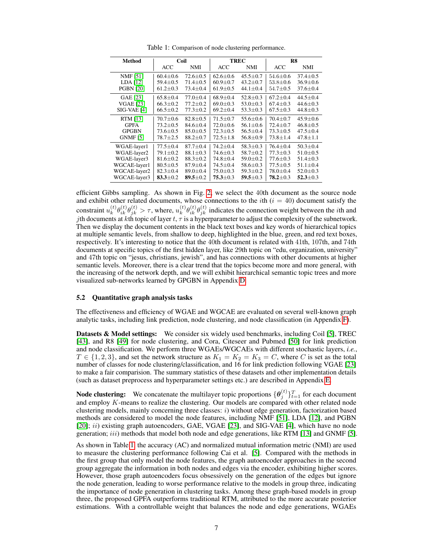| Method           | Coil           |                |                | <b>TREC</b>    | R8             |                |
|------------------|----------------|----------------|----------------|----------------|----------------|----------------|
|                  | <b>ACC</b>     | NMI            | <b>ACC</b>     | NMI            | <b>ACC</b>     | NMI            |
| <b>NMF</b> [51]  | $60.4 \pm 0.6$ | $72.6 \pm 0.5$ | $62.6 \pm 0.6$ | $45.5 \pm 0.7$ | $54.6 \pm 0.6$ | $37.4 \pm 0.5$ |
| LDA [12]         | $59.4 \pm 0.5$ | $71.4 \pm 0.5$ | $60.9 \pm 0.7$ | $43.2 + 0.7$   | $53.8 \pm 0.6$ | $36.9 \pm 0.6$ |
| <b>PGBN [20]</b> | $61.2 \pm 0.3$ | $73.4 \pm 0.4$ | $61.9 + 0.5$   | $44.1 \pm 0.4$ | $54.7 \pm 0.5$ | $37.6 + 0.4$   |
| GAE [23]         | $65.8 \pm 0.4$ | $77.0 \pm 0.4$ | $68.9 \pm 0.4$ | $52.8 \pm 0.3$ | $67.2 + 0.4$   | $44.5 + 0.4$   |
| <b>VGAE</b> [23] | $66.3 \pm 0.2$ | $77.2 \pm 0.2$ | $69.0 + 0.3$   | $53.0 + 0.3$   | $67.4 + 0.3$   | $44.6 + 0.3$   |
| SIG-VAE [4]      | $66.5 \pm 0.2$ | $77.3 \pm 0.2$ | $69.2 \pm 0.4$ | $53.3 \pm 0.3$ | $67.5 \pm 0.3$ | $44.8 \pm 0.3$ |
| RTM [13]         | $70.7 \pm 0.6$ | $82.8 \pm 0.5$ | $71.5 \pm 0.7$ | $55.6 \pm 0.6$ | $70.4 \pm 0.7$ | $45.9 \pm 0.6$ |
| <b>GPFA</b>      | $73.2 \pm 0.5$ | $84.6 \pm 0.4$ | $72.0 \pm 0.6$ | $56.1 \pm 0.6$ | $72.4 \pm 0.7$ | $46.8 \pm 0.5$ |
| <b>GPGBN</b>     | $73.6 \pm 0.5$ | $85.0 \pm 0.5$ | $72.3 \pm 0.5$ | $56.5 \pm 0.4$ | $73.3 \pm 0.5$ | $47.5 \pm 0.4$ |
| <b>GNMF</b> [5]  | 78.7±2.5       | $88.2 \pm 0.7$ | $72.5 \pm 1.8$ | $56.8 \pm 0.9$ | $73.8 \pm 1.4$ | $47.8 \pm 1.1$ |
| WGAE-layer1      | $77.5 + 0.4$   | $87.7 + 0.4$   | $74.2 + 0.4$   | $58.3 \pm 0.3$ | $76.4 + 0.4$   | $50.3 \pm 0.4$ |
| WGAE-layer2      | $79.1 \pm 0.2$ | $88.1 + 0.3$   | $74.6 \pm 0.3$ | $58.7 + 0.2$   | $77.3 \pm 0.3$ | $51.0 + 0.5$   |
| WGAE-layer3      | $81.6 \pm 0.2$ | $88.3 \pm 0.2$ | $74.8 \pm 0.4$ | $59.0 + 0.2$   | $77.6 \pm 0.3$ | $51.4 + 0.3$   |
| WGCAE-layer1     | $80.5 \pm 0.5$ | $87.9 \pm 0.4$ | $74.5 \pm 0.4$ | $58.6 \pm 0.3$ | $77.5 \pm 0.5$ | $51.1 \pm 0.4$ |
| WGCAE-layer2     | $82.3 + 0.4$   | $89.0 + 0.4$   | $75.0 + 0.3$   | $59.3 + 0.2$   | $78.0 + 0.4$   | $52.0 + 0.3$   |
| WGCAE-layer3     | $83.3 + 0.2$   | 89.5 $\pm$ 0.2 | $75.3 + 0.3$   | $59.5 \pm 0.3$ | $78.2 + 0.3$   | $52.3 + 0.3$   |

Table 1: Comparison of node clustering performance.

efficient Gibbs sampling. As shown in Fig. 2, we select the 40th document as the source node and exhibit other related documents, whose connections to the *i*th  $(i = 40)$  document satisfy the constraint  $u_k^{(t)}$  $\theta_{ik}^{(t)}\theta_{jk}^{(t)}\theta_{jk}^{(t)} > \tau$ , where,  $u_k^{(t)}$  $\psi_k^{(t)} \theta_{ik}^{(t)} \theta_{jk}^{(t)}$  indicates the connection weight between the *i*th and jth documents at kth topic of layer t,  $\tau$  is a hyperparameter to adjust the complexity of the subnetwork. Then we display the document contents in the black text boxes and key words of hierarchical topics at multiple semantic levels, from shallow to deep, highlighted in the blue, green, and red text boxes, respectively. It's interesting to notice that the 40th document is related with 41th, 107th, and 74th documents at specific topics of the first hidden layer, like 29th topic on "edu, organization, university" and 47th topic on "jesus, christians, jewish", and has connections with other documents at higher semantic levels. Moreover, there is a clear trend that the topics become more and more general, with the increasing of the network depth, and we will exhibit hierarchical semantic topic trees and more visualized sub-networks learned by GPGBN in Appendix D.

#### 5.2 Quantitative graph analysis tasks

The effectiveness and efficiency of WGAE and WGCAE are evaluated on several well-known graph analytic tasks, including link prediction, node clustering, and node classification (in Appendix F).

**Datasets & Model settings:** We consider six widely used benchmarks, including Coil [5], TREC [43], and R8 [49] for node clustering, and Cora, Citeseer and Pubmed [50] for link prediction and node classification. We perform three WGAEs/WGCAEs with different stochastic layers, *i.e.*,  $T \in \{1, 2, 3\}$ , and set the network structure as  $K_1 = K_2 = K_3 = C$ , where C is set as the total number of classes for node clustering/classification, and 16 for link prediction following VGAE [23] to make a fair comparision. The summary statistics of these datasets and other implementation details (such as dataset preprocess and hyperparameter settings etc.) are described in Appendix E.

**Node clustering:** We concatenate the multilayer topic proportions  $\{\theta_j^{(t)}\}_{t=1}^T$  for each document and employ K-means to realize the clustering. Our models are compared with other related node clustering models, mainly concerning three classes: i) without edge generation, factorization based methods are considered to model the node features, including NMF [51], LDA [12], and PGBN [20]; ii) existing graph autoencoders, GAE, VGAE [23], and SIG-VAE [4], which have no node generation;  $iii)$  methods that model both node and edge generations, like RTM [13] and GNMF [5].

As shown in Table 1, the accuracy (AC) and normalized mutual information metric (NMI) are used to measure the clustering performance following Cai et al. [5]. Compared with the methods in the first group that only model the node features, the graph autoencoder approaches in the second group aggregate the information in both nodes and edges via the encoder, exhibiting higher scores. However, those graph autoencoders focus obsessively on the generation of the edges but ignore the node generation, leading to worse performance relative to the models in group three, indicating the importance of node generation in clustering tasks. Among these graph-based models in group three, the proposed GPFA outperforms traditional RTM, attributed to the more accurate posterior estimations. With a controllable weight that balances the node and edge generations, WGAEs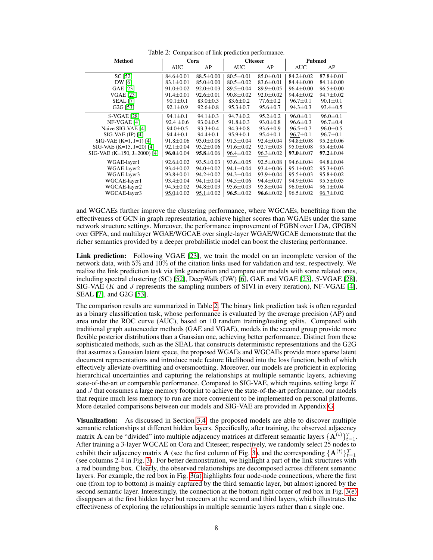| Table 2: Comparison of link prediction performance. |                 |                 |                 |                 |                 |                 |  |  |  |  |
|-----------------------------------------------------|-----------------|-----------------|-----------------|-----------------|-----------------|-----------------|--|--|--|--|
| Method                                              | Cora            |                 | <b>Citeseer</b> |                 | Pubmed          |                 |  |  |  |  |
|                                                     | <b>AUC</b>      | AP              | <b>AUC</b>      | AP              | <b>AUC</b>      | AP              |  |  |  |  |
| SC [52]                                             | $84.6 \pm 0.01$ | $88.5 \pm 0.00$ | $80.5 \pm 0.01$ | $85.0 \pm 0.01$ | $84.2 \pm 0.02$ | $87.8 \pm 0.01$ |  |  |  |  |
| DW [6]                                              | $83.1 \pm 0.01$ | $85.0 \pm 0.00$ | $80.5 \pm 0.02$ | $83.6 \pm 0.01$ | $84.4 \pm 0.00$ | $84.1 \pm 0.00$ |  |  |  |  |
| GAE [23]                                            | $91.0 \pm 0.02$ | $92.0 \pm 0.03$ | $89.5 \pm 0.04$ | $89.9 \pm 0.05$ | $96.4 \pm 0.00$ | $96.5 \pm 0.00$ |  |  |  |  |
| <b>VGAE [23]</b>                                    | $91.4 \pm 0.01$ | $92.6 \pm 0.01$ | $90.8 \pm 0.02$ | $92.0 \pm 0.02$ | $94.4 \pm 0.02$ | $94.7 \pm 0.02$ |  |  |  |  |
| <b>SEAL</b> [7]                                     | $90.1 \pm 0.1$  | $83.0 \pm 0.3$  | $83.6 \pm 0.2$  | $77.6 \pm 0.2$  | $96.7 \pm 0.1$  | $90.1 \pm 0.1$  |  |  |  |  |
| G <sub>2</sub> G <sub>[53]</sub>                    | $92.1 \pm 0.9$  | $92.6 \pm 0.8$  | $95.3 \pm 0.7$  | $95.6 \pm 0.7$  | $94.3 \pm 0.3$  | $93.4 \pm 0.5$  |  |  |  |  |
| $S$ -VGAE [28]                                      | $94.1 \pm 0.1$  | $94.1 \pm 0.3$  | $94.7 \pm 0.2$  | $95.2 \pm 0.2$  | $96.0 \pm 0.1$  | $96.0 \pm 0.1$  |  |  |  |  |
| NF-VGAE [4]                                         | $92.4 \pm 0.6$  | $93.0 \pm 0.5$  | $91.8 \pm 0.3$  | $93.0 \pm 0.8$  | $96.6 \pm 0.3$  | $96.7 \pm 0.4$  |  |  |  |  |
| Naive SIG-VAE [4]                                   | $94.0 \pm 0.5$  | $93.3 \pm 0.4$  | $94.3 \pm 0.8$  | $93.6 \pm 0.9$  | $96.5 \pm 0.7$  | $96.0 \pm 0.5$  |  |  |  |  |
| $SIG-VAE$ (IP) [4]                                  | $94.4 \pm 0.1$  | $94.4 \pm 0.1$  | $95.9 \pm 0.1$  | $95.4 \pm 0.1$  | $96.7 \pm 0.1$  | $96.7 \pm 0.1$  |  |  |  |  |
| $SIG-VAE (K=1, J=1) [4]$                            | $91.8 \pm 0.06$ | $93.0 \pm 0.08$ | $91.3 \pm 0.04$ | $92.4 \pm 0.04$ | $94.8 \pm 0.08$ | $95.2 \pm 0.06$ |  |  |  |  |
| $SIG-VAE (K=15, J=20) [4]$                          | $92.1 \pm 0.04$ | $93.2 \pm 0.06$ | $91.6 \pm 0.02$ | $92.7 \pm 0.03$ | $95.0 \pm 0.08$ | $95.4 \pm 0.04$ |  |  |  |  |
| $SIG-VAE (K=150, J=2000) [4]$                       | $96.0 \pm 0.04$ | $95.8 \pm 0.06$ | $96.4 \pm 0.02$ | $96.3 \pm 0.02$ | $97.0 \pm 0.07$ | $97.2 \pm 0.04$ |  |  |  |  |
| WGAE-layer1                                         | $92.6 \pm 0.02$ | $93.5 \pm 0.03$ | $93.6 \pm 0.05$ | $92.5 \pm 0.08$ | $94.6 \pm 0.04$ | $94.8 \pm 0.04$ |  |  |  |  |
| WGAE-layer2                                         | $93.4 \pm 0.02$ | $94.0 \pm 0.02$ | $94.1 \pm 0.04$ | $93.4 \pm 0.06$ | $95.1 \pm 0.02$ | $95.3 \pm 0.03$ |  |  |  |  |
| WGAE-layer3                                         | $93.8 \pm 0.01$ | $94.2 \pm 0.02$ | $94.3 \pm 0.04$ | $93.9 \pm 0.04$ | $95.5 \pm 0.03$ | $95.8 \pm 0.02$ |  |  |  |  |
| WGCAE-layer1                                        | $93.4 \pm 0.04$ | $94.1 \pm 0.04$ | $94.5 \pm 0.06$ | $94.4 \pm 0.07$ | $94.9 \pm 0.04$ | $95.5 \pm 0.05$ |  |  |  |  |
| WGCAE-layer2                                        | $94.5 \pm 0.02$ | $94.8 \pm 0.03$ | $95.6 \pm 0.03$ | $95.8 \pm 0.04$ | $96.0 \pm 0.04$ | $96.1 \pm 0.04$ |  |  |  |  |
| WGCAE-layer3                                        | $95.0 \pm 0.02$ | $95.1 \pm 0.02$ | $96.5 \pm 0.02$ | $96.6 \pm 0.02$ | $96.5 \pm 0.02$ | $96.7 \pm 0.02$ |  |  |  |  |

Table 2: Comparison of link prediction performance.

and WGCAEs further improve the clustering performance, where WGCAEs, benefiting from the effectiveness of GCN in graph representation, achieve higher scores than WGAEs under the same network structure settings. Moreover, the performance improvement of PGBN over LDA, GPGBN over GPFA, and multilayer WGAE/WGCAE over single-layer WGAE/WGCAE demonstrate that the richer semantics provided by a deeper probabilistic model can boost the clustering performance.

Link prediction: Following VGAE [23], we train the model on an incomplete version of the network data, with 5% and 10% of the citation links used for validation and test, respectively. We realize the link prediction task via link generation and compare our models with some related ones, including spectral clustering (SC) [52], DeepWalk (DW) [6], GAE and VGAE [23], S-VGAE [28], SIG-VAE ( $K$  and  $J$  represents the sampling numbers of SIVI in every iteration), NF-VGAE [4], SEAL [7], and G2G [53].

The comparison results are summarized in Table 2. The binary link prediction task is often regarded as a binary classification task, whose performance is evaluated by the average precision (AP) and area under the ROC curve (AUC), based on 10 random training/testing splits. Compared with traditional graph autoencoder methods (GAE and VGAE), models in the second group provide more flexible posterior distributions than a Gaussian one, achieving better performance. Distinct from these sophisticated methods, such as the SEAL that constructs deterministic representations and the G2G that assumes a Gaussian latent space, the proposed WGAEs and WGCAEs provide more sparse latent document representations and introduce node feature likelihood into the loss function, both of which effectively alleviate overfitting and oversmoothing. Moreover, our models are proficient in exploring hierarchical uncertainties and capturing the relationships at multiple semantic layers, achieving state-of-the-art or comparable performance. Compared to SIG-VAE, which requires setting large  $K$ and J that consumes a large memory footprint to achieve the state-of-the-art performance, our models that require much less memory to run are more convenient to be implemented on personal platforms. More detailed comparisons between our models and SIG-VAE are provided in Appendix G.

Visualization: As discussed in Section 3.4, the proposed models are able to discover multiple semantic relationships at different hidden layers. Specifically, after training, the observed adjacency matrix **A** can be "divided" into multiple adjacency matrices at different semantic layers  $\{A^{(t)}\}_{t=1}^T$ . After training a 3-layer WGCAE on Cora and Citeseer, respectively, we randomly select 25 nodes to exhibit their adjacency matrix **A** (see the first column of Fig. 3), and the corresponding  $\{A^{(t)}\}_{t=1}^T$ (see columns 2-4 in Fig. 3). For better demonstration, we highlight a part of the link structures with a red bounding box. Clearly, the observed relationships are decomposed across different semantic layers. For example, the red box in Fig. 3(a) highlights four node-node connections, where the first one (from top to bottom) is mainly captured by the third semantic layer, but almost ignored by the second semantic layer. Interestingly, the connection at the bottom right corner of red box in Fig. 3(e) disappears at the first hidden layer but reoccurs at the second and third layers, which illustrates the effectiveness of exploring the relationships in multiple semantic layers rather than a single one.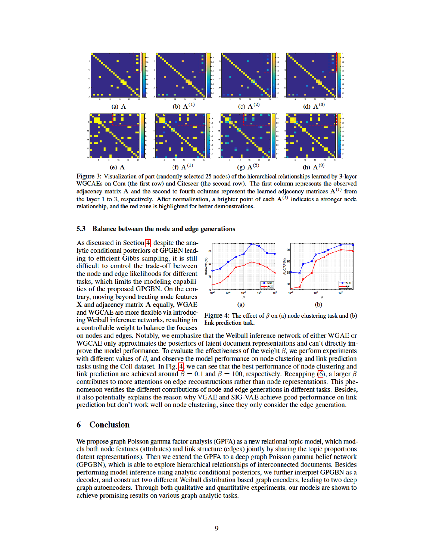

Figure 3: Visualization of part (randomly selected 25 nodes) of the hierarchical relationships learned by 3-layer WGCAEs on Cora (the first row) and Citeseer (the second row). The first column represents the observed adjacency matrix A and the second to fourth columns represent the learned adjacency matrices  $A<sup>(t)</sup>$  from the layer 1 to 3, respectively. After normalization, a brighter point of each  $A^{(t)}$  indicates a stronger node relationship, and the red zone is highlighted for better demonstrations.

#### 5.3 Balance between the node and edge generations

As discussed in Section 4, despite the analytic conditional posteriors of GPGBN leading to efficient Gibbs sampling, it is still difficult to control the trade-off between the node and edge likelihoods for different tasks, which limits the modeling capabilities of the proposed GPGBN. On the contrary, moving beyond treating node features  $X$  and adjacency matrix  $A$  equally, WGAE and WGCAE are more flexible via introducing Weibull inference networks, resulting in a controllable weight to balance the focuses



Figure 4: The effect of  $\beta$  on (a) node clustering task and (b) link prediction task.

on nodes and edges. Notably, we emphasize that the Weibull inference network of either WGAE or WGCAE only approximates the posteriors of latent document representations and can't directly improve the model performance. To evaluate the effectiveness of the weight  $\beta$ , we perform experiments with different values of  $\beta$ , and observe the model performance on node clustering and link prediction tasks using the Coil dataset. In Fig. 4, we can see that the best performance of node clustering and link prediction are achieved around  $\beta = 0.1$  and  $\beta = 100$ , respectively. Recapping (6), a larger  $\beta$ contributes to more attentions on edge reconstructions rather than node representations. This phenomenon verifies the different contributions of node and edge generations in different tasks. Besides, it also potentially explains the reason why VGAE and SIG-VAE achieve good performance on link prediction but don't work well on node clustering, since they only consider the edge generation.

# 6 Conclusion

We propose graph Poisson gamma factor analysis (GPFA) as a new relational topic model, which models both node features (attributes) and link structure (edges) jointly by sharing the topic proportions (latent representations). Then we extend the GPFA to a deep graph Poisson gamma belief network (GPGBN), which is able to explore hierarchical relationships of interconnected documents. Besides performing model inference using analytic conditional posteriors, we further interpret GPGBN as a decoder, and construct two different Weibull distribution based graph encoders, leading to two deep graph autoencoders. Through both qualitative and quantitative experiments, our models are shown to achieve promising results on various graph analytic tasks.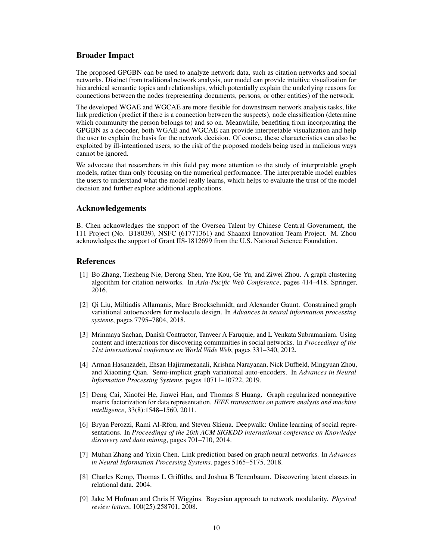# Broader Impact

The proposed GPGBN can be used to analyze network data, such as citation networks and social networks. Distinct from traditional network analysis, our model can provide intuitive visualization for hierarchical semantic topics and relationships, which potentially explain the underlying reasons for connections between the nodes (representing documents, persons, or other entities) of the network.

The developed WGAE and WGCAE are more flexible for downstream network analysis tasks, like link prediction (predict if there is a connection between the suspects), node classification (determine which community the person belongs to) and so on. Meanwhile, benefiting from incorporating the GPGBN as a decoder, both WGAE and WGCAE can provide interpretable visualization and help the user to explain the basis for the network decision. Of course, these characteristics can also be exploited by ill-intentioned users, so the risk of the proposed models being used in malicious ways cannot be ignored.

We advocate that researchers in this field pay more attention to the study of interpretable graph models, rather than only focusing on the numerical performance. The interpretable model enables the users to understand what the model really learns, which helps to evaluate the trust of the model decision and further explore additional applications.

# Acknowledgements

B. Chen acknowledges the support of the Oversea Talent by Chinese Central Government, the 111 Project (No. B18039), NSFC (61771361) and Shaanxi Innovation Team Project. M. Zhou acknowledges the support of Grant IIS-1812699 from the U.S. National Science Foundation.

## References

- [1] Bo Zhang, Tiezheng Nie, Derong Shen, Yue Kou, Ge Yu, and Ziwei Zhou. A graph clustering algorithm for citation networks. In *Asia-Pacific Web Conference*, pages 414–418. Springer, 2016.
- [2] Qi Liu, Miltiadis Allamanis, Marc Brockschmidt, and Alexander Gaunt. Constrained graph variational autoencoders for molecule design. In *Advances in neural information processing systems*, pages 7795–7804, 2018.
- [3] Mrinmaya Sachan, Danish Contractor, Tanveer A Faruquie, and L Venkata Subramaniam. Using content and interactions for discovering communities in social networks. In *Proceedings of the 21st international conference on World Wide Web*, pages 331–340, 2012.
- [4] Arman Hasanzadeh, Ehsan Hajiramezanali, Krishna Narayanan, Nick Duffield, Mingyuan Zhou, and Xiaoning Qian. Semi-implicit graph variational auto-encoders. In *Advances in Neural Information Processing Systems*, pages 10711–10722, 2019.
- [5] Deng Cai, Xiaofei He, Jiawei Han, and Thomas S Huang. Graph regularized nonnegative matrix factorization for data representation. *IEEE transactions on pattern analysis and machine intelligence*, 33(8):1548–1560, 2011.
- [6] Bryan Perozzi, Rami Al-Rfou, and Steven Skiena. Deepwalk: Online learning of social representations. In *Proceedings of the 20th ACM SIGKDD international conference on Knowledge discovery and data mining*, pages 701–710, 2014.
- [7] Muhan Zhang and Yixin Chen. Link prediction based on graph neural networks. In *Advances in Neural Information Processing Systems*, pages 5165–5175, 2018.
- [8] Charles Kemp, Thomas L Griffiths, and Joshua B Tenenbaum. Discovering latent classes in relational data. 2004.
- [9] Jake M Hofman and Chris H Wiggins. Bayesian approach to network modularity. *Physical review letters*, 100(25):258701, 2008.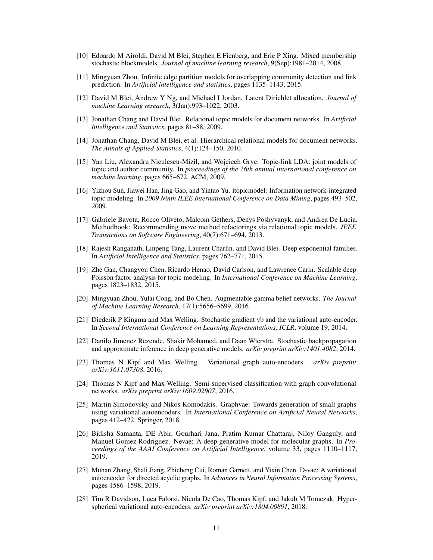- [10] Edoardo M Airoldi, David M Blei, Stephen E Fienberg, and Eric P Xing. Mixed membership stochastic blockmodels. *Journal of machine learning research*, 9(Sep):1981–2014, 2008.
- [11] Mingyuan Zhou. Infinite edge partition models for overlapping community detection and link prediction. In *Artificial intelligence and statistics*, pages 1135–1143, 2015.
- [12] David M Blei, Andrew Y Ng, and Michael I Jordan. Latent Dirichlet allocation. *Journal of machine Learning research*, 3(Jan):993–1022, 2003.
- [13] Jonathan Chang and David Blei. Relational topic models for document networks. In *Artificial Intelligence and Statistics*, pages 81–88, 2009.
- [14] Jonathan Chang, David M Blei, et al. Hierarchical relational models for document networks. *The Annals of Applied Statistics*, 4(1):124–150, 2010.
- [15] Yan Liu, Alexandru Niculescu-Mizil, and Wojciech Gryc. Topic-link LDA: joint models of topic and author community. In *proceedings of the 26th annual international conference on machine learning*, pages 665–672. ACM, 2009.
- [16] Yizhou Sun, Jiawei Han, Jing Gao, and Yintao Yu. itopicmodel: Information network-integrated topic modeling. In *2009 Ninth IEEE International Conference on Data Mining*, pages 493–502, 2009.
- [17] Gabriele Bavota, Rocco Oliveto, Malcom Gethers, Denys Poshyvanyk, and Andrea De Lucia. Methodbook: Recommending move method refactorings via relational topic models. *IEEE Transactions on Software Engineering*, 40(7):671–694, 2013.
- [18] Rajesh Ranganath, Linpeng Tang, Laurent Charlin, and David Blei. Deep exponential families. In *Artificial Intelligence and Statistics*, pages 762–771, 2015.
- [19] Zhe Gan, Changyou Chen, Ricardo Henao, David Carlson, and Lawrence Carin. Scalable deep Poisson factor analysis for topic modeling. In *International Conference on Machine Learning*, pages 1823–1832, 2015.
- [20] Mingyuan Zhou, Yulai Cong, and Bo Chen. Augmentable gamma belief networks. *The Journal of Machine Learning Research*, 17(1):5656–5699, 2016.
- [21] Diederik P Kingma and Max Welling. Stochastic gradient vb and the variational auto-encoder. In *Second International Conference on Learning Representations, ICLR*, volume 19, 2014.
- [22] Danilo Jimenez Rezende, Shakir Mohamed, and Daan Wierstra. Stochastic backpropagation and approximate inference in deep generative models. *arXiv preprint arXiv:1401.4082*, 2014.
- [23] Thomas N Kipf and Max Welling. Variational graph auto-encoders. *arXiv preprint arXiv:1611.07308*, 2016.
- [24] Thomas N Kipf and Max Welling. Semi-supervised classification with graph convolutional networks. *arXiv preprint arXiv:1609.02907*, 2016.
- [25] Martin Simonovsky and Nikos Komodakis. Graphvae: Towards generation of small graphs using variational autoencoders. In *International Conference on Artificial Neural Networks*, pages 412–422. Springer, 2018.
- [26] Bidisha Samanta, DE Abir, Gourhari Jana, Pratim Kumar Chattaraj, Niloy Ganguly, and Manuel Gomez Rodriguez. Nevae: A deep generative model for molecular graphs. In *Proceedings of the AAAI Conference on Artificial Intelligence*, volume 33, pages 1110–1117, 2019.
- [27] Muhan Zhang, Shali Jiang, Zhicheng Cui, Roman Garnett, and Yixin Chen. D-vae: A variational autoencoder for directed acyclic graphs. In *Advances in Neural Information Processing Systems*, pages 1586–1598, 2019.
- [28] Tim R Davidson, Luca Falorsi, Nicola De Cao, Thomas Kipf, and Jakub M Tomczak. Hyperspherical variational auto-encoders. *arXiv preprint arXiv:1804.00891*, 2018.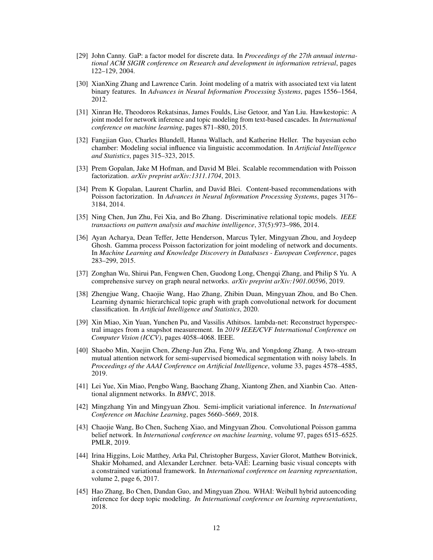- [29] John Canny. GaP: a factor model for discrete data. In *Proceedings of the 27th annual international ACM SIGIR conference on Research and development in information retrieval*, pages 122–129, 2004.
- [30] XianXing Zhang and Lawrence Carin. Joint modeling of a matrix with associated text via latent binary features. In *Advances in Neural Information Processing Systems*, pages 1556–1564, 2012.
- [31] Xinran He, Theodoros Rekatsinas, James Foulds, Lise Getoor, and Yan Liu. Hawkestopic: A joint model for network inference and topic modeling from text-based cascades. In *International conference on machine learning*, pages 871–880, 2015.
- [32] Fangjian Guo, Charles Blundell, Hanna Wallach, and Katherine Heller. The bayesian echo chamber: Modeling social influence via linguistic accommodation. In *Artificial Intelligence and Statistics*, pages 315–323, 2015.
- [33] Prem Gopalan, Jake M Hofman, and David M Blei. Scalable recommendation with Poisson factorization. *arXiv preprint arXiv:1311.1704*, 2013.
- [34] Prem K Gopalan, Laurent Charlin, and David Blei. Content-based recommendations with Poisson factorization. In *Advances in Neural Information Processing Systems*, pages 3176– 3184, 2014.
- [35] Ning Chen, Jun Zhu, Fei Xia, and Bo Zhang. Discriminative relational topic models. *IEEE transactions on pattern analysis and machine intelligence*, 37(5):973–986, 2014.
- [36] Ayan Acharya, Dean Teffer, Jette Henderson, Marcus Tyler, Mingyuan Zhou, and Joydeep Ghosh. Gamma process Poisson factorization for joint modeling of network and documents. In *Machine Learning and Knowledge Discovery in Databases - European Conference*, pages 283–299, 2015.
- [37] Zonghan Wu, Shirui Pan, Fengwen Chen, Guodong Long, Chengqi Zhang, and Philip S Yu. A comprehensive survey on graph neural networks. *arXiv preprint arXiv:1901.00596*, 2019.
- [38] Zhengjue Wang, Chaojie Wang, Hao Zhang, Zhibin Duan, Mingyuan Zhou, and Bo Chen. Learning dynamic hierarchical topic graph with graph convolutional network for document classification. In *Artificial Intelligence and Statistics*, 2020.
- [39] Xin Miao, Xin Yuan, Yunchen Pu, and Vassilis Athitsos. lambda-net: Reconstruct hyperspectral images from a snapshot measurement. In *2019 IEEE/CVF International Conference on Computer Vision (ICCV)*, pages 4058–4068. IEEE.
- [40] Shaobo Min, Xuejin Chen, Zheng-Jun Zha, Feng Wu, and Yongdong Zhang. A two-stream mutual attention network for semi-supervised biomedical segmentation with noisy labels. In *Proceedings of the AAAI Conference on Artificial Intelligence*, volume 33, pages 4578–4585, 2019.
- [41] Lei Yue, Xin Miao, Pengbo Wang, Baochang Zhang, Xiantong Zhen, and Xianbin Cao. Attentional alignment networks. In *BMVC*, 2018.
- [42] Mingzhang Yin and Mingyuan Zhou. Semi-implicit variational inference. In *International Conference on Machine Learning*, pages 5660–5669, 2018.
- [43] Chaojie Wang, Bo Chen, Sucheng Xiao, and Mingyuan Zhou. Convolutional Poisson gamma belief network. In *International conference on machine learning*, volume 97, pages 6515–6525. PMLR, 2019.
- [44] Irina Higgins, Loic Matthey, Arka Pal, Christopher Burgess, Xavier Glorot, Matthew Botvinick, Shakir Mohamed, and Alexander Lerchner. beta-VAE: Learning basic visual concepts with a constrained variational framework. In *International conference on learning representation*, volume 2, page 6, 2017.
- [45] Hao Zhang, Bo Chen, Dandan Guo, and Mingyuan Zhou. WHAI: Weibull hybrid autoencoding inference for deep topic modeling. *In International conference on learning representations*, 2018.